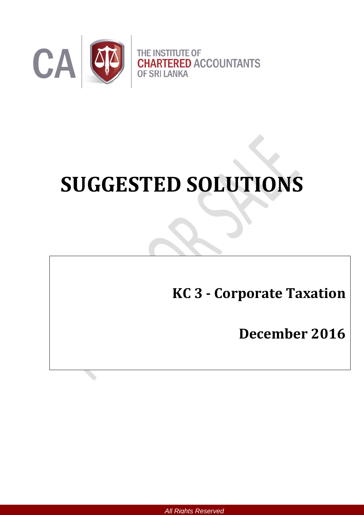

# **SUGGESTED SOLUTIONS**

**KC 3 - Corporate Taxation**

**December 2016**

*All Rights Reserved*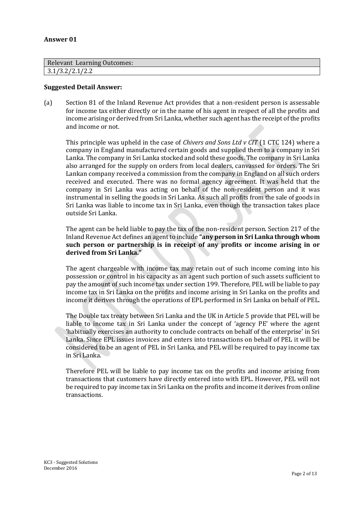#### **Answer 01**

| <b>Relevant Learning Outcomes:</b> |  |
|------------------------------------|--|
| 3.1/3.2/2.1/2.2                    |  |

#### **Suggested Detail Answer:**

(a) Section 81 of the Inland Revenue Act provides that a non-resident person is assessable for income tax either directly or in the name of his agent in respect of all the profits and income arising or derived from Sri Lanka, whether such agent has the receipt of the profits and income or not.

This principle was upheld in the case of *Chivers and Sons Ltd v CIT* (1 CTC 124) where a company in England manufactured certain goods and supplied them to a company in Sri Lanka. The company in Sri Lanka stocked and sold these goods. The company in Sri Lanka also arranged for the supply on orders from local dealers, canvassed for orders. The Sri Lankan company received a commission from the company in England on all such orders received and executed. There was no formal agency agreement. It was held that the company in Sri Lanka was acting on behalf of the non-resident person and it was instrumental in selling the goods in Sri Lanka. As such all profits from the sale of goods in Sri Lanka was liable to income tax in Sri Lanka, even though the transaction takes place outside Sri Lanka.

The agent can be held liable to pay the tax of the non-resident person. Section 217 of the Inland Revenue Act defines an agent to include **"any person in Sri Lanka through whom such person or partnership is in receipt of any profits or income arising in or derived from Sri Lanka."**

The agent chargeable with income tax may retain out of such income coming into his possession or control in his capacity as an agent such portion of such assets sufficient to pay the amount of such income tax under section 199. Therefore, PEL will be liable to pay income tax in Sri Lanka on the profits and income arising in Sri Lanka on the profits and income it derives through the operations of EPL performed in Sri Lanka on behalf of PEL.

The Double tax treaty between Sri Lanka and the UK in Article 5 provide that PEL will be liable to income tax in Sri Lanka under the concept of 'agency PE' where the agent 'habitually exercises an authority to conclude contracts on behalf of the enterprise' in Sri Lanka. Since EPL issues invoices and enters into transactions on behalf of PEL it will be considered to be an agent of PEL in Sri Lanka, and PEL will be required to pay income tax in Sri Lanka.

Therefore PEL will be liable to pay income tax on the profits and income arising from transactions that customers have directly entered into with EPL. However, PEL will not be required to pay income tax in Sri Lanka on the profits and income it derives from online transactions.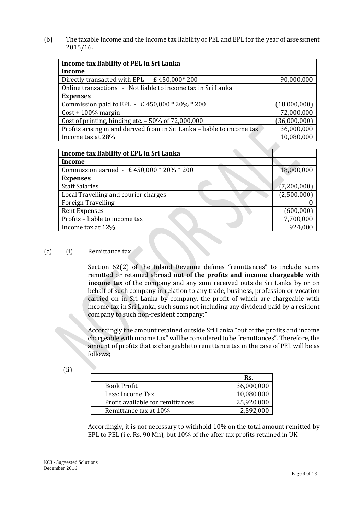(b) The taxable income and the income tax liability of PEL and EPL for the year of assessment 2015/16.

| Income tax liability of PEL in Sri Lanka                                |              |
|-------------------------------------------------------------------------|--------------|
| <b>Income</b>                                                           |              |
| Directly transacted with EPL - £450,000*200                             | 90,000,000   |
| Online transactions - Not liable to income tax in Sri Lanka             |              |
| <b>Expenses</b>                                                         |              |
| Commission paid to EPL - £450,000 * 20% * 200                           | (18,000,000) |
| $Cost + 100\%$ margin                                                   | 72,000,000   |
| Cost of printing, binding etc. $-50\%$ of 72,000,000                    | (36,000,000) |
| Profits arising in and derived from in Sri Lanka - liable to income tax | 36,000,000   |
| Income tax at 28%                                                       | 10,080,000   |
|                                                                         |              |

| Income tax liability of EPL in Sri Lanka |             |
|------------------------------------------|-------------|
| <b>Income</b>                            |             |
| Commission earned - £450,000 * 20% * 200 | 18,000,000  |
| <b>Expenses</b>                          |             |
| <b>Staff Salaries</b>                    | (7,200,000) |
| Local Travelling and courier charges     | (2,500,000) |
| <b>Foreign Travelling</b>                |             |
| <b>Rent Expenses</b>                     | (600,000)   |
| Profits - liable to income tax           | 7,700,000   |
| Income tax at 12%                        | 924,000     |

#### (c) (i) Remittance tax

Section 62(2) of the Inland Revenue defines "remittances" to include sums remitted or retained abroad **out of the profits and income chargeable with income tax** of the company and any sum received outside Sri Lanka by or on behalf of such company in relation to any trade, business, profession or vocation carried on in Sri Lanka by company, the profit of which are chargeable with income tax in Sri Lanka, such sums not including any dividend paid by a resident company to such non-resident company;"

Accordingly the amount retained outside Sri Lanka "out of the profits and income chargeable with income tax" will be considered to be "remittances". Therefore, the amount of profits that is chargeable to remittance tax in the case of PEL will be as follows;

(ii)

|                                  | Rs.        |
|----------------------------------|------------|
| Book Profit                      | 36,000,000 |
| Less: Income Tax                 | 10,080,000 |
| Profit available for remittances | 25,920,000 |
| Remittance tax at 10%            | 2,592,000  |

Accordingly, it is not necessary to withhold 10% on the total amount remitted by EPL to PEL (i.e. Rs. 90 Mn), but 10% of the after tax profits retained in UK.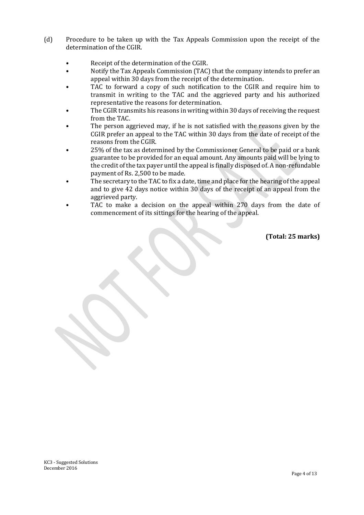- (d) Procedure to be taken up with the Tax Appeals Commission upon the receipt of the determination of the CGIR.
	- Receipt of the determination of the CGIR.
	- Notify the Tax Appeals Commission (TAC) that the company intends to prefer an appeal within 30 days from the receipt of the determination.
	- TAC to forward a copy of such notification to the CGIR and require him to transmit in writing to the TAC and the aggrieved party and his authorized representative the reasons for determination.
	- The CGIR transmits his reasons in writing within 30 days of receiving the request from the TAC.
	- The person aggrieved may, if he is not satisfied with the reasons given by the CGIR prefer an appeal to the TAC within 30 days from the date of receipt of the reasons from the CGIR.
	- 25% of the tax as determined by the Commissioner General to be paid or a bank guarantee to be provided for an equal amount. Any amounts paid will be lying to the credit of the tax payer until the appeal is finally disposed of. A non-refundable payment of Rs. 2,500 to be made.
	- The secretary to the TAC to fix a date, time and place for the hearing of the appeal and to give 42 days notice within 30 days of the receipt of an appeal from the aggrieved party.
	- TAC to make a decision on the appeal within 270 days from the date of commencement of its sittings for the hearing of the appeal.

**(Total: 25 marks)**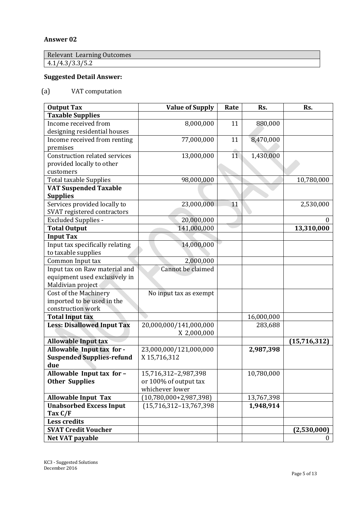#### **Answer 02**

Relevant Learning Outcomes  $4.1/4.3/3.3/5.2$ 

# **Suggested Detail Answer:**

### (a) VAT computation

| <b>Output Tax</b>                    | <b>Value of Supply</b>    | Rate | Rs.        | Rs.            |
|--------------------------------------|---------------------------|------|------------|----------------|
| <b>Taxable Supplies</b>              |                           |      |            |                |
| Income received from                 | 8,000,000                 | 11   | 880,000    |                |
| designing residential houses         |                           |      |            |                |
| Income received from renting         | 77,000,000                | 11   | 8,470,000  |                |
| premises                             |                           |      |            |                |
| <b>Construction related services</b> | 13,000,000                | 11   | 1,430,000  |                |
| provided locally to other            |                           |      |            |                |
| customers                            |                           |      |            |                |
| <b>Total taxable Supplies</b>        | 98,000,000                |      |            | 10,780,000     |
| <b>VAT Suspended Taxable</b>         |                           |      |            |                |
| <b>Supplies</b>                      |                           |      |            |                |
| Services provided locally to         | 23,000,000                | 11   |            | 2,530,000      |
| SVAT registered contractors          |                           |      |            |                |
| <b>Excluded Supplies -</b>           | 20,000,000                |      |            | $\theta$       |
| <b>Total Output</b>                  | 141,000,000               |      |            | 13,310,000     |
| <b>Input Tax</b>                     |                           |      |            |                |
| Input tax specifically relating      | 14,000,000                |      |            |                |
| to taxable supplies                  |                           |      |            |                |
| Common Input tax                     | 2,000,000                 |      |            |                |
| Input tax on Raw material and        | Cannot be claimed         |      |            |                |
| equipment used exclusively in        |                           |      |            |                |
| Maldivian project                    |                           |      |            |                |
| Cost of the Machinery                | No input tax as exempt    |      |            |                |
| imported to be used in the           |                           |      |            |                |
| construction work                    |                           |      |            |                |
| <b>Total Input tax</b>               |                           |      | 16,000,000 |                |
| <b>Less: Disallowed Input Tax</b>    | 20,000,000/141,000,000    |      | 283,688    |                |
|                                      | X 2,000,000               |      |            |                |
| <b>Allowable Input tax</b>           |                           |      |            | (15, 716, 312) |
| Allowable Input tax for -            | 23,000,000/121,000,000    |      | 2,987,398  |                |
| <b>Suspended Supplies-refund</b>     | X 15,716,312              |      |            |                |
| due                                  |                           |      |            |                |
| Allowable Input tax for -            | 15,716,312-2,987,398      |      | 10,780,000 |                |
| <b>Other Supplies</b>                | or 100% of output tax     |      |            |                |
|                                      | whichever lower           |      |            |                |
| <b>Allowable Input Tax</b>           | $(10,780,000+2,987,398)$  |      | 13,767,398 |                |
| <b>Unabsorbed Excess Input</b>       | $(15,716,312-13,767,398)$ |      | 1,948,914  |                |
| Tax C/F                              |                           |      |            |                |
| <b>Less credits</b>                  |                           |      |            |                |
| <b>SVAT Credit Voucher</b>           |                           |      |            | (2,530,000)    |
| Net VAT payable                      |                           |      |            | $\theta$       |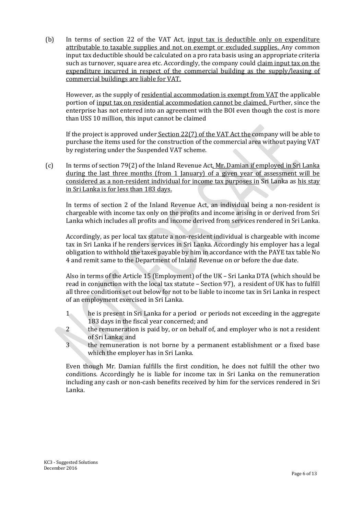(b) In terms of section 22 of the VAT Act, input tax is deductible only on expenditure attributable to taxable supplies and not on exempt or excluded supplies. Any common input tax deductible should be calculated on a pro rata basis using an appropriate criteria such as turnover, square area etc. Accordingly, the company could claim input tax on the expenditure incurred in respect of the commercial building as the supply/leasing of commercial buildings are liable for VAT.

However, as the supply of residential accommodation is exempt from VAT the applicable portion of input tax on residential accommodation cannot be claimed. Further, since the enterprise has not entered into an agreement with the BOI even though the cost is more than USS 10 million, this input cannot be claimed

If the project is approved under Section 22(7) of the VAT Act the company will be able to purchase the items used for the construction of the commercial area without paying VAT by registering under the Suspended VAT scheme.

(c) In terms of section 79(2) of the Inland Revenue Act, Mr. Damian if employed in Sri Lanka during the last three months (from 1 January) of a given year of assessment will be considered as a non-resident individual for income tax purposes in Sri Lanka as his stay in Sri Lanka is for less than 183 days.

In terms of section 2 of the Inland Revenue Act, an individual being a non-resident is chargeable with income tax only on the profits and income arising in or derived from Sri Lanka which includes all profits and income derived from services rendered in Sri Lanka.

Accordingly, as per local tax statute a non-resident individual is chargeable with income tax in Sri Lanka if he renders services in Sri Lanka. Accordingly his employer has a legal obligation to withhold the taxes payable by him in accordance with the PAYE tax table No 4 and remit same to the Department of Inland Revenue on or before the due date.

Also in terms of the Article 15 (Employment) of the UK – Sri Lanka DTA (which should be read in conjunction with the local tax statute – Section 97), a resident of UK has to fulfill all three conditions set out below for not to be liable to income tax in Sri Lanka in respect of an employment exercised in Sri Lanka.

- 1 he is present in Sri Lanka for a period or periods not exceeding in the aggregate 183 days in the fiscal year concerned; and
- 2 the remuneration is paid by, or on behalf of, and employer who is not a resident of Sri Lanka; and
- 3 the remuneration is not borne by a permanent establishment or a fixed base which the employer has in Sri Lanka.

Even though Mr. Damian fulfills the first condition, he does not fulfill the other two conditions. Accordingly he is liable for income tax in Sri Lanka on the remuneration including any cash or non-cash benefits received by him for the services rendered in Sri Lanka.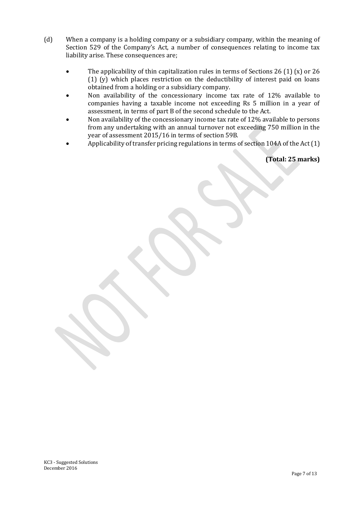- (d) When a company is a holding company or a subsidiary company, within the meaning of Section 529 of the Company's Act, a number of consequences relating to income tax liability arise. These consequences are;
	- The applicability of thin capitalization rules in terms of Sections 26 (1) (x) or 26 (1) (y) which places restriction on the deductibility of interest paid on loans obtained from a holding or a subsidiary company.
	- Non availability of the concessionary income tax rate of 12% available to companies having a taxable income not exceeding Rs 5 million in a year of assessment, in terms of part B of the second schedule to the Act.
	- Non availability of the concessionary income tax rate of 12% available to persons from any undertaking with an annual turnover not exceeding 750 million in the year of assessment 2015/16 in terms of section 59B.
	- Applicability of transfer pricing regulations in terms of section 104A of the Act (1)

**(Total: 25 marks)**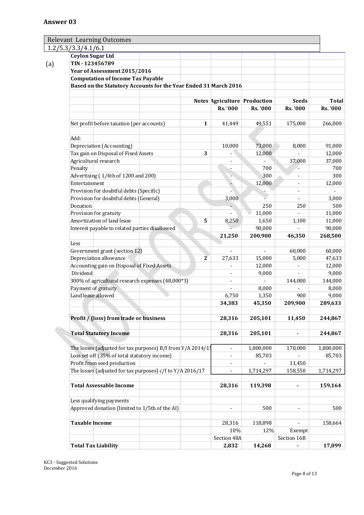| <b>Relevant Learning Outcomes</b>                                |              |                          |                              |                          |              |
|------------------------------------------------------------------|--------------|--------------------------|------------------------------|--------------------------|--------------|
| 1.2/5.3/3.3/4.1/6.1                                              |              |                          |                              |                          |              |
| <b>Ceylon Sugar Ltd</b>                                          |              |                          |                              |                          |              |
| TIN-123456789                                                    |              |                          |                              |                          |              |
| Year of Assessment 2015/2016                                     |              |                          |                              |                          |              |
| <b>Computation of Income Tax Payable</b>                         |              |                          |                              |                          |              |
| Based on the Statutory Accounts for the Year Ended 31 March 2016 |              |                          |                              |                          |              |
|                                                                  |              |                          |                              |                          |              |
|                                                                  |              |                          | Notes Agriculture Production | <b>Seeds</b>             | <b>Total</b> |
|                                                                  |              | Rs. '000                 | Rs. '000                     | <b>Rs. '000</b>          | Rs. '000     |
|                                                                  |              |                          |                              |                          |              |
| Net profit before taxation (per accounts)                        | $\mathbf{1}$ | 41,449                   | 49,551                       | 175,000                  | 266,000      |
| Add:                                                             |              |                          |                              |                          |              |
| Depreciation (Accounting)                                        |              | 10,000                   | 73,000                       | 8,000                    | 91,000       |
| Tax gain on Disposal of Fixed Assets                             | 3            |                          | 12,000                       |                          | 12,000       |
| Agricultural research                                            |              | ÷                        |                              | 37,000                   | 37,000       |
| Penalty                                                          |              |                          | 700                          |                          |              |
| Advertising (1/4th of 1200 and 200)                              |              |                          | 300                          | ÷,                       |              |
| Entertainment                                                    |              |                          | 12,000                       | $\overline{\phantom{a}}$ | 12,000       |
| Provision for doubtful debts (Specific)                          |              |                          |                              | $\overline{\phantom{a}}$ |              |
| Provision for doubtful debts (General)                           |              |                          |                              | $\overline{a}$           | 3,000        |
| Donation                                                         |              | 3,000                    |                              |                          |              |
|                                                                  |              |                          | 250                          | 250                      |              |
| Provision for gratuity                                           |              |                          | 11,000                       |                          | 11,000       |
| Amortization of land lease                                       | 5            | 8,250                    | 1,650                        | 1,100                    | 11,000       |
| Interest payable to related parties disallowed                   |              |                          | 90,000                       |                          | 90,000       |
|                                                                  |              | 21,250                   | 200,900                      | 46,350                   | 268,500      |
| Less                                                             |              |                          |                              |                          |              |
| Government grant (section 12)                                    |              |                          |                              | 60,000                   | 60,000       |
| Depreciation allowance                                           | 2            | 27,633                   | 15,000                       | 5,000                    | 47,633       |
| Accounting gain on Disposal of Fixed Assets                      |              |                          | 12,000                       |                          | 12,000       |
| <b>Dividend</b>                                                  |              |                          | 9,000                        |                          | 9,000        |
| 300% of agricultural research expenses (48,000*3)                |              |                          |                              | 144,000                  | 144,000      |
| Payment of gratuity                                              |              |                          | 8,000                        |                          | 8,000        |
| Land lease allowed                                               |              | 6,750                    | 1,350                        | 900                      | 9,000        |
|                                                                  |              | 34,383                   | 45,350                       | 209,900                  | 289,633      |
| Profit / (loss) from trade or business                           |              | 28,316                   | 205,101                      | 11,450                   | 244,867      |
|                                                                  |              |                          |                              |                          |              |
| <b>Total Statutory Income</b>                                    |              | 28,316                   | 205,101                      | ٠                        | 244,867      |
| The losses (adjusted for tax purposes) B/f from Y/A 2014/1!      |              | $\overline{\phantom{a}}$ | 1,800,000                    | 170,000                  | 1,800,000    |
| Loss set off (35% of total statutory income)                     |              | $\overline{\phantom{a}}$ | 85,703                       |                          | 85,703       |
| Profit from seed production                                      |              | $\overline{a}$           |                              | 11,450                   |              |
| The losses (adjusted for tax purposes) c/f to Y/A 2016/17        |              | ÷                        | 1,714,297                    | 158,550                  | 1,714,297    |
|                                                                  |              |                          | 119,398                      |                          |              |
| <b>Total Assessable Income</b>                                   |              | 28,316                   |                              |                          | 159,164      |
| Less qualifying payments                                         |              |                          |                              |                          |              |
| Approved donation (limited to 1/5th of the AI)                   |              |                          | 500                          |                          |              |
| <b>Taxable Income</b>                                            |              | 28,316                   | 118,898                      |                          | 158,664      |
|                                                                  |              | 10%                      | 12%                          | Exempt                   |              |
|                                                                  |              | Section 48A              |                              | Section 16B              |              |
| <b>Total Tax Liability</b>                                       |              | 2,832                    | 14,268                       |                          | 17,099       |
|                                                                  |              |                          |                              |                          |              |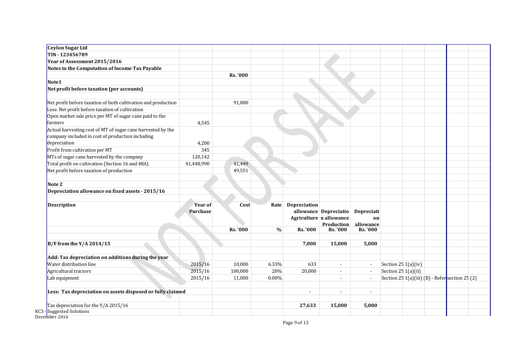| Ceylon Sugar Ltd                                              |                 |                   |               |                |                         |                          |                                                |  |  |
|---------------------------------------------------------------|-----------------|-------------------|---------------|----------------|-------------------------|--------------------------|------------------------------------------------|--|--|
| TIN-123456789                                                 |                 |                   |               |                |                         |                          |                                                |  |  |
| Year of Assessment 2015/2016                                  |                 |                   |               |                |                         |                          |                                                |  |  |
| Notes to the Computation of Income Tax Payable                |                 |                   |               |                |                         |                          |                                                |  |  |
|                                                               |                 | <b>Rs. '000</b>   |               |                |                         |                          |                                                |  |  |
| Note1                                                         |                 |                   |               |                |                         |                          |                                                |  |  |
| Net profit before taxation (per accounts)                     |                 |                   |               |                |                         |                          |                                                |  |  |
|                                                               |                 |                   |               |                |                         |                          |                                                |  |  |
| Net profit before taxation of both cultivation and production |                 | 91,000            |               |                |                         |                          |                                                |  |  |
| Less: Net profit before taxation of cultivation               |                 |                   |               |                |                         |                          |                                                |  |  |
| Open market sale price per MT of sugar cane paid to the       |                 |                   |               |                |                         |                          |                                                |  |  |
| farmers                                                       | 4,545           |                   |               |                |                         |                          |                                                |  |  |
| Actual harvesting cost of MT of sugar cane harvested by the   |                 |                   |               |                |                         |                          |                                                |  |  |
| company included in cost of production including              |                 |                   |               |                |                         |                          |                                                |  |  |
| depreciation                                                  | 4,200           |                   |               |                |                         |                          |                                                |  |  |
| Profit from cultivation per MT                                | 345             |                   |               |                |                         |                          |                                                |  |  |
| MTs of sugar cane harvested by the company                    | 120,142         |                   |               |                |                         |                          |                                                |  |  |
| Total profit on cultivation (Section 16 and 48A)              | 41,448,990      | 41,449            |               |                |                         |                          |                                                |  |  |
| Net profit before taxation of production                      |                 | 49,551            |               |                |                         |                          |                                                |  |  |
| Note 2                                                        |                 |                   |               |                |                         |                          |                                                |  |  |
| Depreciation allowance on fixed assets - 2015/16              |                 |                   |               |                |                         |                          |                                                |  |  |
|                                                               |                 |                   |               |                |                         |                          |                                                |  |  |
| <b>Description</b>                                            | <b>Year of</b>  | Cost              | Rate          | Depreciation   |                         |                          |                                                |  |  |
|                                                               | <b>Purchase</b> |                   |               |                | allowance Depreciatio   | Depreciati               |                                                |  |  |
|                                                               |                 |                   |               |                | Agriculture n allowance | on                       |                                                |  |  |
|                                                               |                 |                   |               |                | <b>Production</b>       | allowance                |                                                |  |  |
|                                                               |                 | <b>Rs. '000</b>   | $\frac{0}{0}$ | Rs. '000       | <b>Rs. '000</b>         | <b>Rs. '000</b>          |                                                |  |  |
| $B/F$ from the Y/A 2014/15                                    |                 |                   |               | 7,000          | 15,000                  | 5,000                    |                                                |  |  |
| Add: Tax depreciation on additions during the year            |                 |                   |               |                |                         |                          |                                                |  |  |
| Water distribution line                                       | 2015/16         |                   |               | 633            | $\sim$                  |                          |                                                |  |  |
| Agricultural tractors                                         |                 | 10,000<br>100,000 | 6.33%<br>20%  |                | $\sim$                  | $\mathbf{L}$             | Section 25 1(a)(iv)                            |  |  |
|                                                               | 2015/16         |                   |               | 20,000         |                         | $\sim$                   | Section 25 1(a)(ii)                            |  |  |
| Lab equipment                                                 | 2015/16         | 11,000            | 0.00%         |                | $\blacksquare$          |                          | Section 25 1(a)(iii) (B) - Refersection 25 (2) |  |  |
| Less: Tax depreciation on assets disposed or fully claimed    |                 |                   |               | $\blacksquare$ | $\blacksquare$          | $\overline{\phantom{a}}$ |                                                |  |  |
| Tax depreciation for the Y/A 2015/16                          |                 |                   |               | 27,633         | 15,000                  | 5,000                    |                                                |  |  |
|                                                               |                 |                   |               |                |                         |                          |                                                |  |  |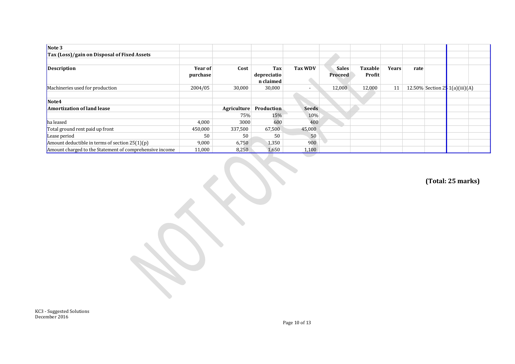| Note 3                                                  |          |             |                          |                          |              |                |              |      |                                  |  |
|---------------------------------------------------------|----------|-------------|--------------------------|--------------------------|--------------|----------------|--------------|------|----------------------------------|--|
| Tax (Loss)/gain on Disposal of Fixed Assets             |          |             |                          |                          |              |                |              |      |                                  |  |
|                                                         |          |             |                          |                          |              |                |              |      |                                  |  |
| <b>Description</b>                                      | Year of  | Cost        | Tax                      | Tax WDV                  | <b>Sales</b> | <b>Taxable</b> | <b>Years</b> | rate |                                  |  |
|                                                         | purchase |             | depreciatio<br>n claimed |                          | Proceed      | Profit         |              |      |                                  |  |
| Machineries used for production                         | 2004/05  | 30,000      | 30,000                   | $\overline{\phantom{a}}$ | 12,000       | 12,000         | 11           |      | 12.50% Section 2. $1(a)(iii)(A)$ |  |
|                                                         |          |             |                          |                          |              |                |              |      |                                  |  |
| Note4                                                   |          |             |                          |                          |              |                |              |      |                                  |  |
| Amortization of land lease                              |          | Agriculture | Production               | <b>Seeds</b>             |              |                |              |      |                                  |  |
|                                                         |          | 75%         | 15%                      | 10%                      |              |                |              |      |                                  |  |
| ha leased                                               | 4,000    | 3000        | 600                      | 400                      |              |                |              |      |                                  |  |
| Total ground rent paid up front                         | 450,000  | 337,500     | 67,500                   | 45,000                   |              |                |              |      |                                  |  |
| Lease period                                            | 50       | 50          | 50                       | 50                       |              |                |              |      |                                  |  |
| Amount deductible in terms of section $25(1)(p)$        | 9,000    | 6,750       | 1,350                    | 900                      |              |                |              |      |                                  |  |
| Amount charged to the Statement of comprehensive income | 11,000   | 8,250       | 1,650                    | 1,100                    |              |                |              |      |                                  |  |

**(Total: 25 marks)**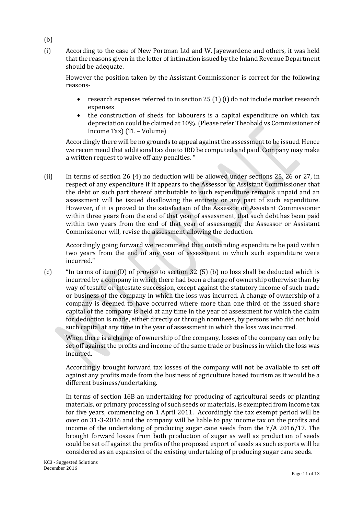- (b)
- (i) According to the case of New Portman Ltd and W. Jayewardene and others, it was held that the reasons given in the letter of intimation issued by the Inland Revenue Department should be adequate.

However the position taken by the Assistant Commissioner is correct for the following reasons-

- research expenses referred to in section 25 (1) (i) do not include market research expenses
- the construction of sheds for labourers is a capital expenditure on which tax depreciation could be claimed at 10%. (Please refer Theobald vs Commissioner of Income Tax) (TL – Volume)

Accordingly there will be no grounds to appeal against the assessment to be issued. Hence we recommend that additional tax due to IRD be computed and paid. Company may make a written request to waive off any penalties. "

(ii) In terms of section 26 (4) no deduction will be allowed under sections 25, 26 or 27, in respect of any expenditure if it appears to the Assessor or Assistant Commissioner that the debt or such part thereof attributable to such expenditure remains unpaid and an assessment will be issued disallowing the entirety or any part of such expenditure. However, if it is proved to the satisfaction of the Assessor or Assistant Commissioner within three years from the end of that year of assessment, that such debt has been paid within two years from the end of that year of assessment, the Assessor or Assistant Commissioner will, revise the assessment allowing the deduction.

Accordingly going forward we recommend that outstanding expenditure be paid within two years from the end of any year of assessment in which such expenditure were incurred."

(c) "In terms of item (D) of proviso to section 32 (5) (b) no loss shall be deducted which is incurred by a company in which there had been a change of ownership otherwise than by way of testate or intestate succession, except against the statutory income of such trade or business of the company in which the loss was incurred. A change of ownership of a company is deemed to have occurred where more than one third of the issued share capital of the company is held at any time in the year of assessment for which the claim for deduction is made, either directly or through nominees, by persons who did not hold such capital at any time in the year of assessment in which the loss was incurred.

When there is a change of ownership of the company, losses of the company can only be set off against the profits and income of the same trade or business in which the loss was incurred.

Accordingly brought forward tax losses of the company will not be available to set off against any profits made from the business of agriculture based tourism as it would be a different business/undertaking.

In terms of section 16B an undertaking for producing of agricultural seeds or planting materials, or primary processing of such seeds or materials, is exempted from income tax for five years, commencing on 1 April 2011. Accordingly the tax exempt period will be over on 31-3-2016 and the company will be liable to pay income tax on the profits and income of the undertaking of producing sugar cane seeds from the Y/A 2016/17. The brought forward losses from both production of sugar as well as production of seeds could be set off against the profits of the proposed export of seeds as such exports will be considered as an expansion of the existing undertaking of producing sugar cane seeds.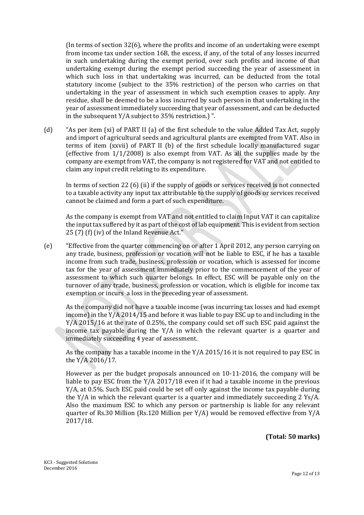(In terms of section 32(6), where the profits and income of an undertaking were exempt from income tax under section 16B, the excess, if any, of the total of any losses incurred in such undertaking during the exempt period, over such profits and income of that undertaking exempt during the exempt period succeeding the year of assessment in which such loss in that undertaking was incurred, can be deducted from the total statutory income (subject to the 35% restriction) of the person who carries on that undertaking in the year of assessment in which such exemption ceases to apply. Any residue, shall be deemed to be a loss incurred by such person in that undertaking in the year of assessment immediately succeeding that year of assessment, and can be deducted in the subsequent Y/A subject to 35% restriction.) ".

(d) "As per item (xi) of PART II (a) of the first schedule to the value Added Tax Act, supply and import of agricultural seeds and agricultural plants are exempted from VAT. Also in terms of item (xxvii) of PART II (b) of the first schedule locally manufactured sugar (effective from 1/1/2008) is also exempt from VAT. As all the supplies made by the company are exempt from VAT, the company is not registered for VAT and not entitled to claim any input credit relating to its expenditure.

In terms of section 22 (6) (ii) if the supply of goods or services received is not connected to a taxable activity any input tax attributable to the supply of goods or services received cannot be claimed and form a part of such expenditure.

As the company is exempt from VAT and not entitled to claim Input VAT it can capitalize the input tax suffered by it as part of the cost of lab equipment. This is evident from section 25 (7) (f) (iv) of the Inland Revenue Act."

(e) "Effective from the quarter commencing on or after 1 April 2012, any person carrying on any trade, business, profession or vocation will not be liable to ESC, if he has a taxable income from such trade, business, profession or vocation, which is assessed for income tax for the year of assessment immediately prior to the commencement of the year of assessment to which such quarter belongs. In effect, ESC will be payable only on the turnover of any trade, business, profession or vocation, which is eligible for income tax exemption or incurs a loss in the preceding year of assessment.

As the company did not have a taxable income (was incurring tax losses and had exempt income) in the Y/A 2014/15 and before it was liable to pay ESC up to and including in the Y/A 2015/16 at the rate of 0.25%, the company could set off such ESC paid against the income tax payable during the Y/A in which the relevant quarter is a quarter and immediately succeeding 4 year of assessment.

As the company has a taxable income in the Y/A 2015/16 it is not required to pay ESC in the Y/A 2016/17.

However as per the budget proposals announced on 10-11-2016, the company will be liable to pay ESC from the Y/A 2017/18 even if it had a taxable income in the previous Y/A, at 0.5%. Such ESC paid could be set off only against the income tax payable during the Y/A in which the relevant quarter is a quarter and immediately succeeding 2 Ys/A. Also the maximum ESC to which any person or partnership is liable for any relevant quarter of Rs.30 Million (Rs.120 Million per Y/A) would be removed effective from Y/A 2017/18.

**(Total: 50 marks)**